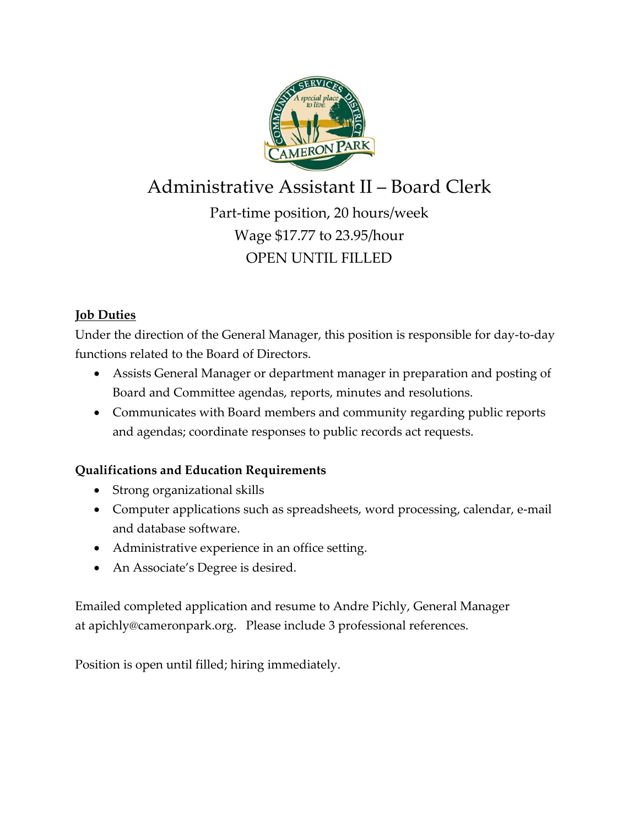

# Administrative Assistant II – Board Clerk

Part-time position, 20 hours/week Wage \$17.77 to 23.95/hour OPEN UNTIL FILLED

## **Job Duties**

Under the direction of the General Manager, this position is responsible for day-to-day functions related to the Board of Directors.

- Assists General Manager or department manager in preparation and posting of Board and Committee agendas, reports, minutes and resolutions.
- Communicates with Board members and community regarding public reports and agendas; coordinate responses to public records act requests.

## **Qualifications and Education Requirements**

- Strong organizational skills
- Computer applications such as spreadsheets, word processing, calendar, e-mail and database software.
- Administrative experience in an office setting.
- An Associate's Degree is desired.

Emailed completed application and resume to Andre Pichly, General Manager at apichly@cameronpark.org. Please include 3 professional references.

Position is open until filled; hiring immediately.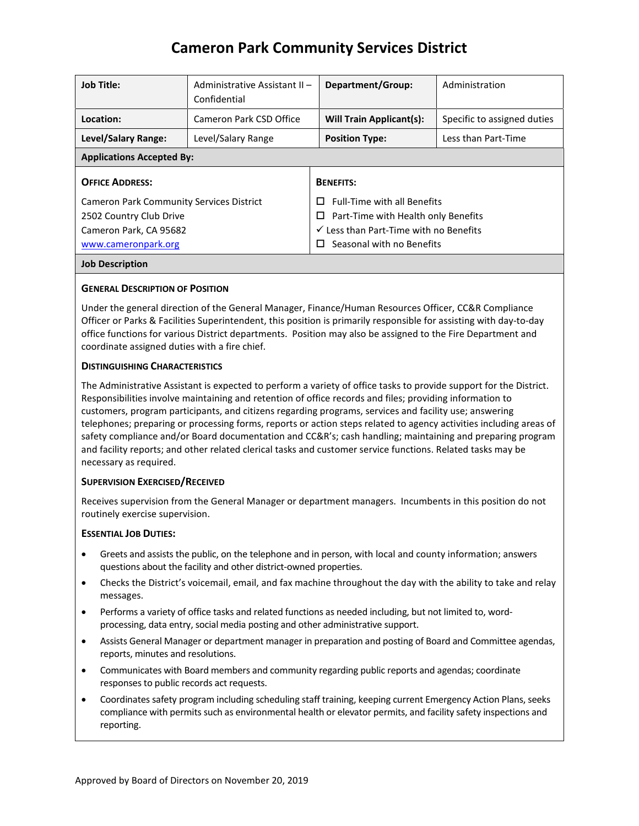## **Cameron Park Community Services District**

| <b>Job Title:</b>                               | Administrative Assistant II -<br>Confidential | Department/Group:                                 | Administration              |
|-------------------------------------------------|-----------------------------------------------|---------------------------------------------------|-----------------------------|
| Location:                                       | Cameron Park CSD Office                       | <b>Will Train Applicant(s):</b>                   | Specific to assigned duties |
| Level/Salary Range:                             | Level/Salary Range                            | <b>Position Type:</b>                             | Less than Part-Time         |
| <b>Applications Accepted By:</b>                |                                               |                                                   |                             |
| <b>OFFICE ADDRESS:</b>                          |                                               | <b>BENEFITS:</b>                                  |                             |
| <b>Cameron Park Community Services District</b> |                                               | <b>Full-Time with all Benefits</b><br>п           |                             |
| 2502 Country Club Drive                         |                                               | Part-Time with Health only Benefits<br>$\sqcup$   |                             |
| Cameron Park, CA 95682                          |                                               | $\checkmark$ Less than Part-Time with no Benefits |                             |
| www.cameronpark.org                             |                                               | Seasonal with no Benefits<br>$\mathbf{L}$         |                             |
| <b>Job Description</b>                          |                                               |                                                   |                             |

#### **GENERAL DESCRIPTION OF POSITION**

Under the general direction of the General Manager, Finance/Human Resources Officer, CC&R Compliance Officer or Parks & Facilities Superintendent, this position is primarily responsible for assisting with day-to-day office functions for various District departments. Position may also be assigned to the Fire Department and coordinate assigned duties with a fire chief.

#### **DISTINGUISHING CHARACTERISTICS**

The Administrative Assistant is expected to perform a variety of office tasks to provide support for the District. Responsibilities involve maintaining and retention of office records and files; providing information to customers, program participants, and citizens regarding programs, services and facility use; answering telephones; preparing or processing forms, reports or action steps related to agency activities including areas of safety compliance and/or Board documentation and CC&R's; cash handling; maintaining and preparing program and facility reports; and other related clerical tasks and customer service functions. Related tasks may be necessary as required.

#### **SUPERVISION EXERCISED/RECEIVED**

Receives supervision from the General Manager or department managers. Incumbents in this position do not routinely exercise supervision.

#### **ESSENTIAL JOB DUTIES:**

- Greets and assists the public, on the telephone and in person, with local and county information; answers questions about the facility and other district-owned properties.
- Checks the District's voicemail, email, and fax machine throughout the day with the ability to take and relay messages.
- Performs a variety of office tasks and related functions as needed including, but not limited to, wordprocessing, data entry, social media posting and other administrative support.
- Assists General Manager or department manager in preparation and posting of Board and Committee agendas, reports, minutes and resolutions.
- Communicates with Board members and community regarding public reports and agendas; coordinate responses to public records act requests.
- Coordinates safety program including scheduling staff training, keeping current Emergency Action Plans, seeks compliance with permits such as environmental health or elevator permits, and facility safety inspections and reporting.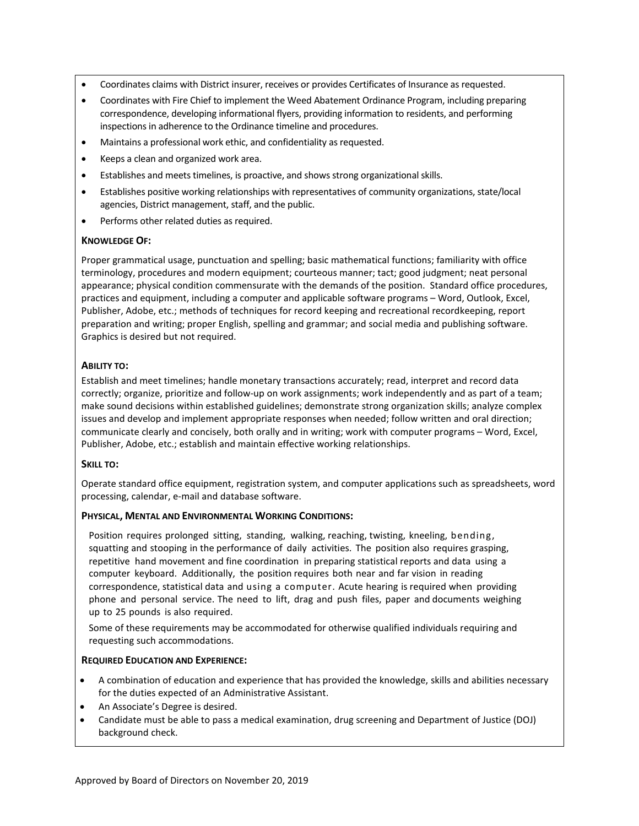- Coordinates claims with District insurer, receives or provides Certificates of Insurance as requested.
- Coordinates with Fire Chief to implement the Weed Abatement Ordinance Program, including preparing correspondence, developing informational flyers, providing information to residents, and performing inspections in adherence to the Ordinance timeline and procedures.
- Maintains a professional work ethic, and confidentiality as requested.
- Keeps a clean and organized work area.
- Establishes and meets timelines, is proactive, and shows strong organizational skills.
- Establishes positive working relationships with representatives of community organizations, state/local agencies, District management, staff, and the public.
- Performs other related duties as required.

#### **KNOWLEDGE OF:**

Proper grammatical usage, punctuation and spelling; basic mathematical functions; familiarity with office terminology, procedures and modern equipment; courteous manner; tact; good judgment; neat personal appearance; physical condition commensurate with the demands of the position. Standard office procedures, practices and equipment, including a computer and applicable software programs – Word, Outlook, Excel, Publisher, Adobe, etc.; methods of techniques for record keeping and recreational recordkeeping, report preparation and writing; proper English, spelling and grammar; and social media and publishing software. Graphics is desired but not required.

#### **ABILITY TO:**

Establish and meet timelines; handle monetary transactions accurately; read, interpret and record data correctly; organize, prioritize and follow-up on work assignments; work independently and as part of a team; make sound decisions within established guidelines; demonstrate strong organization skills; analyze complex issues and develop and implement appropriate responses when needed; follow written and oral direction; communicate clearly and concisely, both orally and in writing; work with computer programs – Word, Excel, Publisher, Adobe, etc.; establish and maintain effective working relationships.

#### **SKILL TO:**

Operate standard office equipment, registration system, and computer applications such as spreadsheets, word processing, calendar, e-mail and database software.

#### **PHYSICAL, MENTAL AND ENVIRONMENTAL WORKING CONDITIONS:**

Position requires prolonged sitting, standing, walking, reaching, twisting, kneeling, bending, squatting and stooping in the performance of daily activities. The position also requires grasping, repetitive hand movement and fine coordination in preparing statistical reports and data using a computer keyboard. Additionally, the position requires both near and far vision in reading correspondence, statistical data and using a computer. Acute hearing is required when providing phone and personal service. The need to lift, drag and push files, paper and documents weighing up to 25 pounds is also required.

Some of these requirements may be accommodated for otherwise qualified individuals requiring and requesting such accommodations.

#### **REQUIRED EDUCATION AND EXPERIENCE:**

- A combination of education and experience that has provided the knowledge, skills and abilities necessary for the duties expected of an Administrative Assistant.
- An Associate's Degree is desired.
- Candidate must be able to pass a medical examination, drug screening and Department of Justice (DOJ) background check.